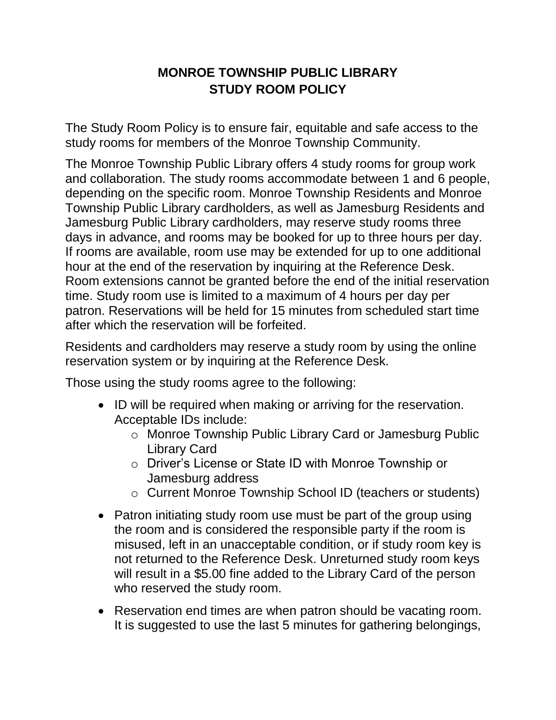## **MONROE TOWNSHIP PUBLIC LIBRARY STUDY ROOM POLICY**

The Study Room Policy is to ensure fair, equitable and safe access to the study rooms for members of the Monroe Township Community.

The Monroe Township Public Library offers 4 study rooms for group work and collaboration. The study rooms accommodate between 1 and 6 people, depending on the specific room. Monroe Township Residents and Monroe Township Public Library cardholders, as well as Jamesburg Residents and Jamesburg Public Library cardholders, may reserve study rooms three days in advance, and rooms may be booked for up to three hours per day. If rooms are available, room use may be extended for up to one additional hour at the end of the reservation by inquiring at the Reference Desk. Room extensions cannot be granted before the end of the initial reservation time. Study room use is limited to a maximum of 4 hours per day per patron. Reservations will be held for 15 minutes from scheduled start time after which the reservation will be forfeited.

Residents and cardholders may reserve a study room by using the online reservation system or by inquiring at the Reference Desk.

Those using the study rooms agree to the following:

- ID will be required when making or arriving for the reservation. Acceptable IDs include:
	- o Monroe Township Public Library Card or Jamesburg Public Library Card
	- o Driver's License or State ID with Monroe Township or Jamesburg address
	- o Current Monroe Township School ID (teachers or students)
- Patron initiating study room use must be part of the group using the room and is considered the responsible party if the room is misused, left in an unacceptable condition, or if study room key is not returned to the Reference Desk. Unreturned study room keys will result in a \$5.00 fine added to the Library Card of the person who reserved the study room.
- Reservation end times are when patron should be vacating room. It is suggested to use the last 5 minutes for gathering belongings,